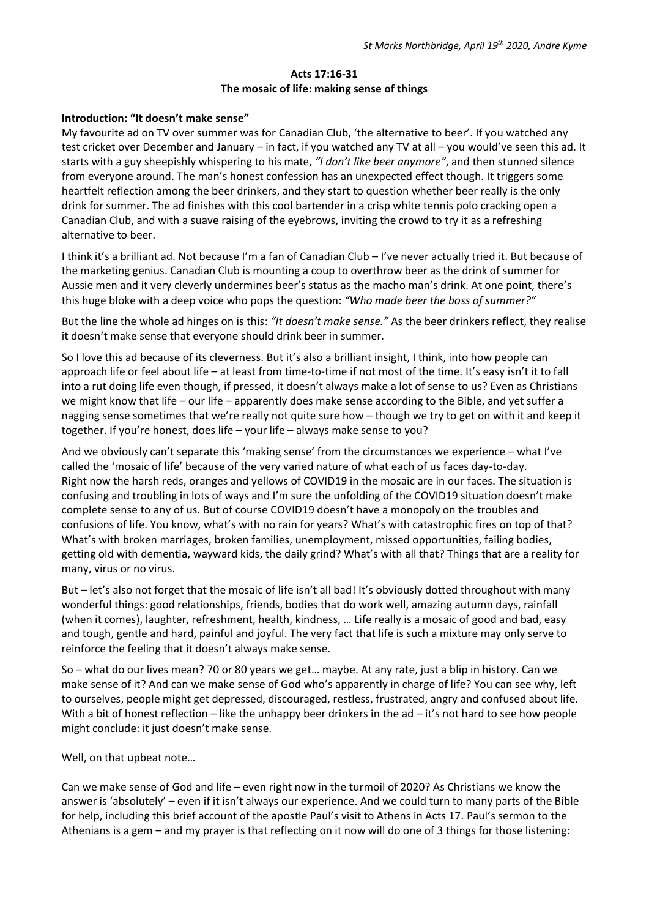# **Acts 17:16-31 The mosaic of life: making sense of things**

#### **Introduction: "It doesn't make sense"**

My favourite ad on TV over summer was for Canadian Club, 'the alternative to beer'. If you watched any test cricket over December and January – in fact, if you watched any TV at all – you would've seen this ad. It starts with a guy sheepishly whispering to his mate, *"I don't like beer anymore"*, and then stunned silence from everyone around. The man's honest confession has an unexpected effect though. It triggers some heartfelt reflection among the beer drinkers, and they start to question whether beer really is the only drink for summer. The ad finishes with this cool bartender in a crisp white tennis polo cracking open a Canadian Club, and with a suave raising of the eyebrows, inviting the crowd to try it as a refreshing alternative to beer.

I think it's a brilliant ad. Not because I'm a fan of Canadian Club – I've never actually tried it. But because of the marketing genius. Canadian Club is mounting a coup to overthrow beer as the drink of summer for Aussie men and it very cleverly undermines beer's status as the macho man's drink. At one point, there's this huge bloke with a deep voice who pops the question: *"Who made beer the boss of summer?"*

But the line the whole ad hinges on is this: *"It doesn't make sense."* As the beer drinkers reflect, they realise it doesn't make sense that everyone should drink beer in summer.

So I love this ad because of its cleverness. But it's also a brilliant insight, I think, into how people can approach life or feel about life – at least from time-to-time if not most of the time. It's easy isn't it to fall into a rut doing life even though, if pressed, it doesn't always make a lot of sense to us? Even as Christians we might know that life – our life – apparently does make sense according to the Bible, and yet suffer a nagging sense sometimes that we're really not quite sure how – though we try to get on with it and keep it together. If you're honest, does life – your life – always make sense to you?

And we obviously can't separate this 'making sense' from the circumstances we experience – what I've called the 'mosaic of life' because of the very varied nature of what each of us faces day-to-day. Right now the harsh reds, oranges and yellows of COVID19 in the mosaic are in our faces. The situation is confusing and troubling in lots of ways and I'm sure the unfolding of the COVID19 situation doesn't make complete sense to any of us. But of course COVID19 doesn't have a monopoly on the troubles and confusions of life. You know, what's with no rain for years? What's with catastrophic fires on top of that? What's with broken marriages, broken families, unemployment, missed opportunities, failing bodies, getting old with dementia, wayward kids, the daily grind? What's with all that? Things that are a reality for many, virus or no virus.

But – let's also not forget that the mosaic of life isn't all bad! It's obviously dotted throughout with many wonderful things: good relationships, friends, bodies that do work well, amazing autumn days, rainfall (when it comes), laughter, refreshment, health, kindness, … Life really is a mosaic of good and bad, easy and tough, gentle and hard, painful and joyful. The very fact that life is such a mixture may only serve to reinforce the feeling that it doesn't always make sense.

So – what do our lives mean? 70 or 80 years we get… maybe. At any rate, just a blip in history. Can we make sense of it? And can we make sense of God who's apparently in charge of life? You can see why, left to ourselves, people might get depressed, discouraged, restless, frustrated, angry and confused about life. With a bit of honest reflection – like the unhappy beer drinkers in the ad – it's not hard to see how people might conclude: it just doesn't make sense.

Well, on that upbeat note…

Can we make sense of God and life – even right now in the turmoil of 2020? As Christians we know the answer is 'absolutely' – even if it isn't always our experience. And we could turn to many parts of the Bible for help, including this brief account of the apostle Paul's visit to Athens in Acts 17. Paul's sermon to the Athenians is a gem – and my prayer is that reflecting on it now will do one of 3 things for those listening: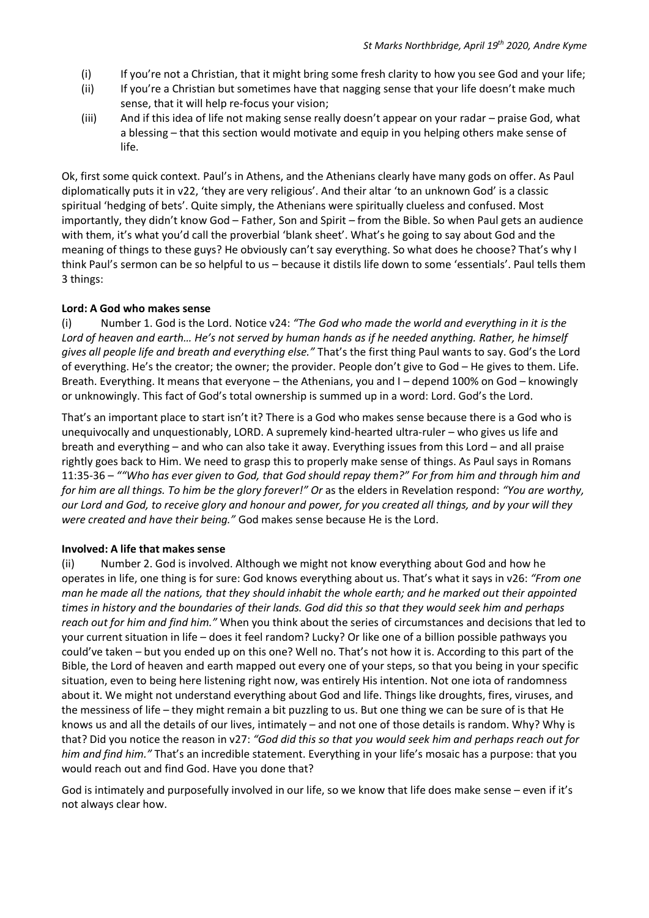- (i) If you're not a Christian, that it might bring some fresh clarity to how you see God and your life;
- (ii) If you're a Christian but sometimes have that nagging sense that your life doesn't make much sense, that it will help re-focus your vision;
- (iii) And if this idea of life not making sense really doesn't appear on your radar praise God, what a blessing – that this section would motivate and equip in you helping others make sense of life.

Ok, first some quick context. Paul's in Athens, and the Athenians clearly have many gods on offer. As Paul diplomatically puts it in v22, 'they are very religious'. And their altar 'to an unknown God' is a classic spiritual 'hedging of bets'. Quite simply, the Athenians were spiritually clueless and confused. Most importantly, they didn't know God – Father, Son and Spirit – from the Bible. So when Paul gets an audience with them, it's what you'd call the proverbial 'blank sheet'. What's he going to say about God and the meaning of things to these guys? He obviously can't say everything. So what does he choose? That's why I think Paul's sermon can be so helpful to us – because it distils life down to some 'essentials'. Paul tells them 3 things:

# **Lord: A God who makes sense**

(i) Number 1. God is the Lord. Notice v24: *"The God who made the world and everything in it is the Lord of heaven and earth… He's not served by human hands as if he needed anything. Rather, he himself gives all people life and breath and everything else."* That's the first thing Paul wants to say. God's the Lord of everything. He's the creator; the owner; the provider. People don't give to God – He gives to them. Life. Breath. Everything. It means that everyone – the Athenians, you and I – depend 100% on God – knowingly or unknowingly. This fact of God's total ownership is summed up in a word: Lord. God's the Lord.

That's an important place to start isn't it? There is a God who makes sense because there is a God who is unequivocally and unquestionably, LORD. A supremely kind-hearted ultra-ruler – who gives us life and breath and everything – and who can also take it away. Everything issues from this Lord – and all praise rightly goes back to Him. We need to grasp this to properly make sense of things. As Paul says in Romans 11:35-36 – *""Who has ever given to God, that God should repay them?" For from him and through him and for him are all things. To him be the glory forever!" Or* as the elders in Revelation respond: *"You are worthy, our Lord and God, to receive glory and honour and power, for you created all things, and by your will they were created and have their being."* God makes sense because He is the Lord.

### **Involved: A life that makes sense**

(ii) Number 2. God is involved. Although we might not know everything about God and how he operates in life, one thing is for sure: God knows everything about us. That's what it says in v26: *"From one man he made all the nations, that they should inhabit the whole earth; and he marked out their appointed times in history and the boundaries of their lands. God did this so that they would seek him and perhaps reach out for him and find him."* When you think about the series of circumstances and decisions that led to your current situation in life – does it feel random? Lucky? Or like one of a billion possible pathways you could've taken – but you ended up on this one? Well no. That's not how it is. According to this part of the Bible, the Lord of heaven and earth mapped out every one of your steps, so that you being in your specific situation, even to being here listening right now, was entirely His intention. Not one iota of randomness about it. We might not understand everything about God and life. Things like droughts, fires, viruses, and the messiness of life – they might remain a bit puzzling to us. But one thing we can be sure of is that He knows us and all the details of our lives, intimately – and not one of those details is random. Why? Why is that? Did you notice the reason in v27: *"God did this so that you would seek him and perhaps reach out for him and find him."* That's an incredible statement. Everything in your life's mosaic has a purpose: that you would reach out and find God. Have you done that?

God is intimately and purposefully involved in our life, so we know that life does make sense – even if it's not always clear how.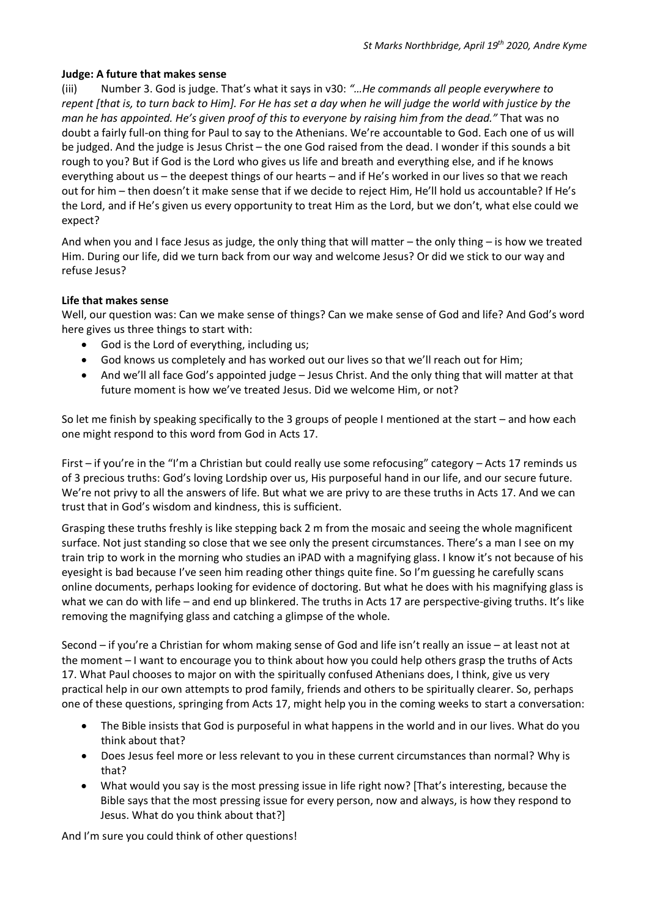### **Judge: A future that makes sense**

(iii) Number 3. God is judge. That's what it says in v30: *"…He commands all people everywhere to repent [that is, to turn back to Him]. For He has set a day when he will judge the world with justice by the man he has appointed. He's given proof of this to everyone by raising him from the dead."* That was no doubt a fairly full-on thing for Paul to say to the Athenians. We're accountable to God. Each one of us will be judged. And the judge is Jesus Christ – the one God raised from the dead. I wonder if this sounds a bit rough to you? But if God is the Lord who gives us life and breath and everything else, and if he knows everything about us – the deepest things of our hearts – and if He's worked in our lives so that we reach out for him – then doesn't it make sense that if we decide to reject Him, He'll hold us accountable? If He's the Lord, and if He's given us every opportunity to treat Him as the Lord, but we don't, what else could we expect?

And when you and I face Jesus as judge, the only thing that will matter – the only thing – is how we treated Him. During our life, did we turn back from our way and welcome Jesus? Or did we stick to our way and refuse Jesus?

# **Life that makes sense**

Well, our question was: Can we make sense of things? Can we make sense of God and life? And God's word here gives us three things to start with:

- God is the Lord of everything, including us;
- God knows us completely and has worked out our lives so that we'll reach out for Him;
- And we'll all face God's appointed judge Jesus Christ. And the only thing that will matter at that future moment is how we've treated Jesus. Did we welcome Him, or not?

So let me finish by speaking specifically to the 3 groups of people I mentioned at the start – and how each one might respond to this word from God in Acts 17.

First – if you're in the "I'm a Christian but could really use some refocusing" category – Acts 17 reminds us of 3 precious truths: God's loving Lordship over us, His purposeful hand in our life, and our secure future. We're not privy to all the answers of life. But what we are privy to are these truths in Acts 17. And we can trust that in God's wisdom and kindness, this is sufficient.

Grasping these truths freshly is like stepping back 2 m from the mosaic and seeing the whole magnificent surface. Not just standing so close that we see only the present circumstances. There's a man I see on my train trip to work in the morning who studies an iPAD with a magnifying glass. I know it's not because of his eyesight is bad because I've seen him reading other things quite fine. So I'm guessing he carefully scans online documents, perhaps looking for evidence of doctoring. But what he does with his magnifying glass is what we can do with life – and end up blinkered. The truths in Acts 17 are perspective-giving truths. It's like removing the magnifying glass and catching a glimpse of the whole.

Second – if you're a Christian for whom making sense of God and life isn't really an issue – at least not at the moment – I want to encourage you to think about how you could help others grasp the truths of Acts 17. What Paul chooses to major on with the spiritually confused Athenians does, I think, give us very practical help in our own attempts to prod family, friends and others to be spiritually clearer. So, perhaps one of these questions, springing from Acts 17, might help you in the coming weeks to start a conversation:

- The Bible insists that God is purposeful in what happens in the world and in our lives. What do you think about that?
- Does Jesus feel more or less relevant to you in these current circumstances than normal? Why is that?
- What would you say is the most pressing issue in life right now? [That's interesting, because the Bible says that the most pressing issue for every person, now and always, is how they respond to Jesus. What do you think about that?]

And I'm sure you could think of other questions!